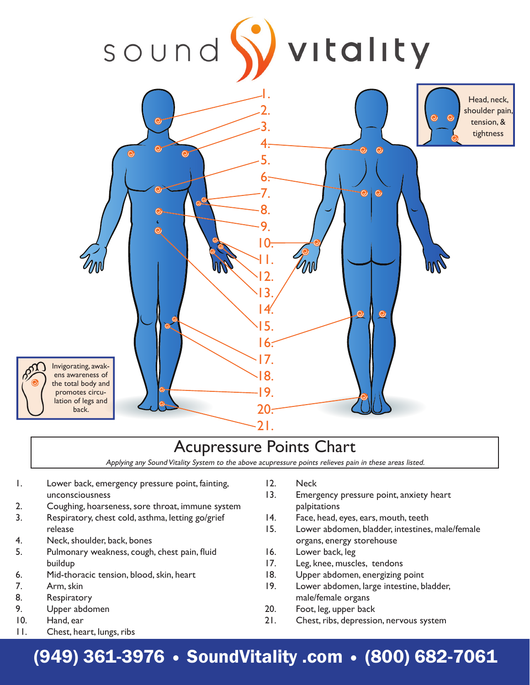

## Acupressure Points Chart

Applying any Sound Vitality System to the above acupressure points relieves pain in these areas listed.

- 1. Lower back, emergency pressure point, fainting, unconsciousness
- 2. Coughing, hoarseness, sore throat, immune system
- 3. Respiratory, chest cold, asthma, letting go/grief release
- 4. Neck, shoulder, back, bones
- 5. Pulmonary weakness, cough, chest pain, fluid buildup
- 6. Mid-thoracic tension, blood, skin, heart
- 7. Arm, skin
- 8. Respiratory
- 9. Upper abdomen
- 10. Hand, ear
- 11. Chest, heart, lungs, ribs
- 12. Neck
- 13. Emergency pressure point, anxiety heart palpitations
- 14. Face, head, eyes, ears, mouth, teeth
- 15. Lower abdomen, bladder, intestines, male/female organs, energy storehouse
- 16. Lower back, leg
- 17. Leg, knee, muscles, tendons
- 18. Upper abdomen, energizing point
- 19. Lower abdomen, large intestine, bladder, male/female organs
- 20. Foot, leg, upper back
- 21. Chest, ribs, depression, nervous system

(949) 361-3976 • SoundVitality .com • (800) 682-7061